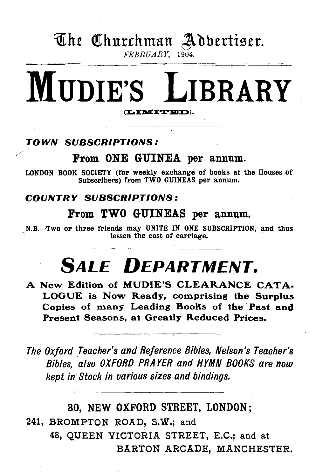# The Churchman Adbertiser. FEBRUARY, 1904.

# MUDIE'S LIBRARY (LIMITED).

## TOWN SUBSCRIPTIONS:

# From ONE GUINEA per annum.

LONDON BOOK SOCIETY (for weekly exchange of books at the Houses of Subscribers) from TWO GUINEAS per annum.

## COUNTRY SUBSCRIPTIONS:

## From TWO GUINEAS per annum.

N.B.-Two or three friends may UNITE IN ONE SUBSCRIPTION, and thus lessen the cost of carriage.

# **SALE DEPARTMENT.**

A New Edition of MUDIE'S CLEARANCE CATA-LOGUE is Now Ready, comprising the Surplus Copies of many Leading Books of the Past and Present Seasons, at Greatly Reduced Prices.

*The Oxford Teacher's and Reference Bibles, Nelson's Teacher's Bibles, also OXFORD PRAYER and HYMN BOOKS are now kept in Stoch in various sizes and bindings.* 

30, NEW OXFORD STREET, LONDON; 241, BROMPTON ROAD, S.W.; and 48, QUEEN VICTORIA STREET, E.C.; and at BARTON ARCADE, MANCHESTER.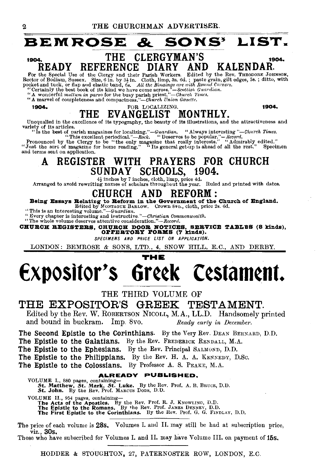# **BEMROSE** & SONS~ **LIST.**  1904. READY THE CLERGYMAN'S<br>REFERENCE DIARY ANI 1904. READY REFERENCE DIARY AND KALENDAR.<br>
For the Special Use of the Clergy and their Parish Workers. Edited by the Rev. THEODORE JOHNS.<br>
For the Special Use of the Clergy and their Parish Workers. Edited by the Rev. THE

# 1904, FOR LOCALIZING. 1904. THE EVANGELIST MONTHLY.<br>Unequalled in the excellence of its typography, the beauty of its illustrations, and the attractiveness and

Unequated in the exements of two syrepserses, well-<br>
variety of its articles.<br>
"This excellent periodical."—Rock. "Deserves to be popular."—Record.<br>
"This excellent periodical."—Rock. "Deserves to be popular."—Record.<br>
Pr

# A REGISTER WITH PRAYERS FOR CHURCH SUNDAY SCHOOLS, 1904.

 $\frac{1}{4}$  inches by 7 inches, cloth, limp, price 4d. Arranged to avoid rewriting names of scholars throughout the year. Ruled and printed with dates.

# CHURCH AND REFORM:

Being Essays Belating to Beform in the Government of the Church of England. Edited by MoNTAGUE BARLOW. Crown 8vo., cloth, price 2s. 6d. 'This is an interesting volume."-Guardian.

"Every chapter is interesting and instructive."-Christian Commonwealth.<br>
"The whole volume deserves attentive consideration."-Record.<br> **HURCH REGISTERS, CHURCH DOOR NOTICES, SERVICE TABLES (8 kinds),** CHUBCK BEGISTEES, CHUBCH DOOB NOTICES, SERVICE ORDER OF POSSESS (8 KINDS), OFFERTORY FORMS (7 kinds).

*SPECIMENS AND PRICE LIST ON APPLICATION.* 

LONDON: BEMROSE & SONS, LTD., 4, SNOW HILL, E.C., AND DERBY.

# **THE Expositor's 6r¢¢k C¢stam¢nt.**

THE THIRD VOLUME OF

## THE EXPOSITOR'S GREEK TESTAMENT.

Edited by the Rev. W. ROBERTSON NICOLL, M.A., LL.D. Handsomely printed and bound in buckram. Imp. 8vo. *Ready early in December.* 

The Second Epistle to the Corinthians. By the Very Rev. DEAN BERNARD, D.D.

The Epistle to the Galatians. By the Rev. FREDERicK RENDALL, M.A.

The Epistle to the Ephesians. By the Rev. Principal SALMOND, D.D.

The Epistle to the Philippians. By the Rev. H. A. A. KENNEDY, D.Sc.

The Epistle to the Colossians. By Professor A. S. PEAKE, M.A.

#### ALREADY PUBLISHED,

VOLUME I., 880 pages, containing-St. Matthew, St. Mark, St. Luke. By the Rev. Prof. A. B. BRUCE, D. D. St. John. By the Rev. Prof. MARCUS Dons, D. D. VOLUME II., 954 pages, containing—<br>The Acts of the Apostles. By the Rev. Prof. R. J. KNOWLING, D.D.<br>The Epistle to the Romans. By the Rev. Prof. JAMES DENNEY, D.D.<br>The First Epistle to the Corinthians. By the Rev. Prof. G.

The price of each volume is 28s. Volumes I. and II. may still be had at subscription price, viz., 30s. . Those who have subscribed for Volumes I. and II. may have Volume III. on payment of 15s.

HODDER & STOUGHTON, 27, PATERNOSTER ROW, LONDON, E.C.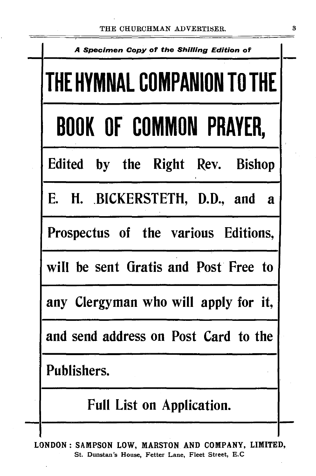| A Specimen Copy of the Shilling Edition of |  |  |  |  |  |  |  |  |  |
|--------------------------------------------|--|--|--|--|--|--|--|--|--|
| THE HYMNAL COMPANION TO THE                |  |  |  |  |  |  |  |  |  |
| <b>BOOK OF COMMON PRAYER,</b>              |  |  |  |  |  |  |  |  |  |
| Edited by the Right Rev. Bishop            |  |  |  |  |  |  |  |  |  |
| E. H. BICKERSTETH, D.D., and a             |  |  |  |  |  |  |  |  |  |
| Prospectus of the various Editions,        |  |  |  |  |  |  |  |  |  |
| will be sent Gratis and Post Free to       |  |  |  |  |  |  |  |  |  |
| any Clergyman who will apply for it,       |  |  |  |  |  |  |  |  |  |
| and send address on Post Card to the       |  |  |  |  |  |  |  |  |  |
| Publishers.                                |  |  |  |  |  |  |  |  |  |
| <b>Full List on Application.</b>           |  |  |  |  |  |  |  |  |  |
|                                            |  |  |  |  |  |  |  |  |  |

LONDON: SAMPSON LOW, MARSTON AND COMPANY, LIMITED, St. Dunstan's House, Fetter Lane, Fleet Street, E.G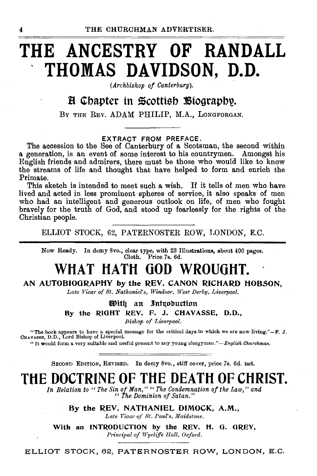# **THE ANCESTRY OF RANDALL THOMAS DAVIDSON, D.D.**

*(Archbishop of Canterbury).* 

## B Chapter in Scottish Biography.

BY THE REV. ADAM PHILIP, M.A., LONGFORGAN.

#### EXTRACT FROM PREFACE.

The accession to the See of Canterbury of a Scotsman, the second within a generation, is an event of some interest to his countrymen. Amongst his English friends and admirers, there must be those who would like to know the streams of life and thought that have helped to form and enrich the Primate.

This sketch is intended to meet such a wish. If it tells of men who have lived and acted in less prominent spheres of service, it also speaks of men who had an intelligent and generous outlook on life, of men who fought bravely for the truth of God, and stood up fearlessly for the rights of the Christian people.

ELLIOT STOCK, 62, PATERNOSTER ROW, LONDON, E.C.

Now Ready. In demy 8vo., clear type, with 23 Illustrations, about 400 pages. Cloth. Price 7s. 6d.

# **WHAT HATH GOD WROUGHT.**

#### AN AUTOBIOGRAPHY by the REV. CANON RICHARD HOBSON.

Late Vicar of St. Nathaniel's, Windsor, West Derby, Liverpool.

With an Introduction By the RIGHT REV. F. J. CHAVASSE, D.D., *Bishop of Liverpool.* 

"The book appears to have a special message for the critical days in which we are now living.''-**F. J.** CBAVASSE, D.D., Lord Bishop of Liverpool.

"It would form a very suitable and useful present to any young clergyman."-English Churchman.

SECOND EDITION, REVISED. In demy 8vo., stiff cover, price 7s. 6d. net.

# **THE DOCTRINE OF THE DEATH OF CHRIST.**

*In Relation to "The Sin of Man," "The Condemnation of the Law," and*  " *The Dominion of Satan."* 

By the REV. NATHANIEL DIMOCK, A.M., Late Vicar of St. Paul's, Maidstone.

With an INTRODUCTION by the REV. H. G. GREY, *Principal of Wycliffe Hall, Oxford.* 

ELLIOT STOCK, 62, PATERNOSTER ROW, LONDON, E.C.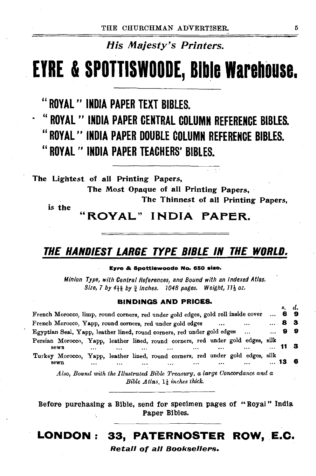# His Majesty's Printers.

# EYRE & SPOTTISWOODE, Bible Warehouse.

# "ROYAL" INDIA PAPER TEXT BIBLES.

• "ROYAL" INDIA PAPER CENTRAL COLUMN REFERENCE BIBLES. "ROYAL'' INDIA PAPER DOUBLE COLUMN REFERENCE BIBLES. " ROYAL " INDIA PAPER TEACHERS' BIBLES.

The Lightest of all Printing Papers,

The Most Opaque of all Printing Papers,

The Thinnest of all Printing Papers,

is the

ROYAL" INDIA PAPER.

# THE HANDIEST LARGE TYPE BIBLE IN THE WORLD.

#### Evre & Spottiswoode No. 660 size,

*Minion Type, with Central References, and Bound with an Indexed Atlas. Size, 7 by 4H by* i *inches. 1048 pages. Weight,* 11~ *oz.* 

#### BINDINGS AND PRICES.

| French Morocco, limp, round corners, red under gold edges, gold roll inside cover                           |                                                                                        |  |  |  |  |  |          |          |          |      | $\cdots$ |      | 69  |
|-------------------------------------------------------------------------------------------------------------|----------------------------------------------------------------------------------------|--|--|--|--|--|----------|----------|----------|------|----------|------|-----|
| French Morocco, Yapp, round corners, red under gold edges<br><br>$\cdots$                                   |                                                                                        |  |  |  |  |  |          |          |          |      |          | 8    | - 3 |
| Egyptian Seal, Yapp, leather lined, round corners, red under gold edges<br>                                 |                                                                                        |  |  |  |  |  |          |          |          |      | $\cdots$ |      | 99  |
|                                                                                                             | Persian Morocco, Yapp, leather lined, round corners, red under gold edges, silk        |  |  |  |  |  |          |          |          |      |          |      |     |
| sewn<br><br>$\cdots$<br><br>                                                                                |                                                                                        |  |  |  |  |  |          |          | $\cdots$ | - 11 | - 3      |      |     |
|                                                                                                             | Turkey Morocco, Yapp, leather lined, round corners, red under gold edges, silk<br>sewn |  |  |  |  |  | $\cdots$ | $\cdots$ |          |      |          | 13 6 |     |
| Also, Bound with the Illustrated Bible Treasury, a large Concordance and a<br>Bible Atlas, 11 inches thick. |                                                                                        |  |  |  |  |  |          |          |          |      |          |      |     |

Before purchasing a Bible, send for specimen pages of "Royal" India Paper Bibles.

# LONDON: 33, PATERNOSTER ROW, E.C.

#### Retall of all Booksellers.

*R.* d.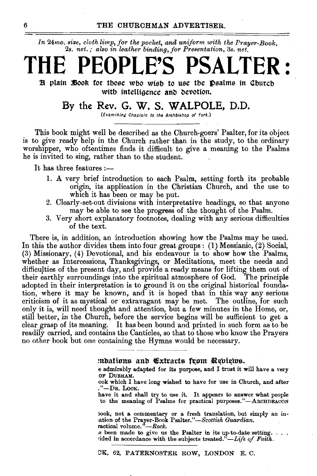In 24mo. size, cloth limp, for the pocket, and uniform with the Prayer-Book, 2s. *net.; also in leather binding, for Presentation,* 3s. *net.* 

# **THE PEOPLE'S PSALTER** :

Et plain *iBook* for those who wish to use the psalms in Church with intelligence and devotion.

## By the Rev. G. W. S. **WALPOLE,** D.D.

(Examining Chaplain to the Archbishop of York.)

This book might well be described as the Church-goers' Psalter, for its object is to give ready help in the Church rather than in the study, to the ordinary worshipper, who oftentimes finds it difficult to give a meaning to the Psalms he is invited to sing, rather than to the student.

It has three features:-

- 1. A very brief introduction to each Psalm, setting forth its probable origin, its application in the Christian Church, and the use to which it has been or may be put.
- 2. Clearly-set-out divisions with interpretative headings, so that anyone may be able to see the progress of the thought of the Psalm.
- 3. Very short explanatory footnotes, dealing with any serious difficulties of the text.

There is, in addition, an introduction showing how the Psalms may be used. In this the author divides them into four great groups: (1) Messianic, (2) Social, (3) Missionary, (4) Devotional, and his endeavour is to show how the Psalms, whether as Intercessions, Thanksgivings, or Meditations, meet the needs and difficulties of the present day, and provide a ready means for lifting them out of their earthly surroundings into the spiritual atmosphere of God. The principle adopted in their interpretation is to ground it on the original historical foundation, where it may be known, and it is hoped that in this way any serious criticism of it as mystical or extravagant may be met. The outline, for such only it is, will need thought and attention, but a few minutes in the Home, or, still better, in the Church, before the service begins will be sufficient to get a clear grasp of its meaning. It has been bound and printed in such form as to be readily carried, and contains the Canticles, so that to those who know the Prayers no other book but one containing the Hymns would be necessary.

:ndafiuns and Exfracts fuum Repieins.<br>Indianably adapted for its purpose, and I trust it will have a very OF DURHAM.

•ook which I have long wished to have for use in Church, and after ."-DR. LocK.

have it and shall try to use it. It appears to answer what people to the meaning of Psalms for practical purposes."-ARCHDEACON

book, not a commentary or a fresh translation, but simply an intation of the Prayer-Book *Psalter."-Scottish Guardian.* 

is been made to give us the Psalter in its up-to-date setting.  $\dots$  *r*ided in accordance with the subjects treated." $-\textit{Life of Faith.}$ 

OK, 62, PATERNOSTER ROW, LONDON E. C.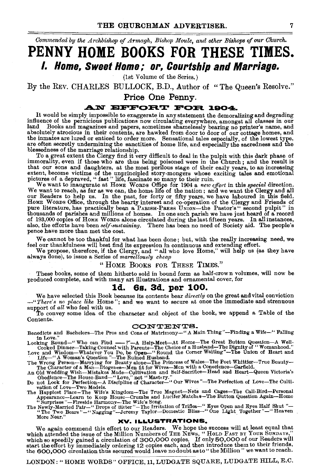*Commended by the Archbishop of Armagh, Bishop Moule, and other Bishops* of *our Church.* 

**PENNY HOME BOOKS FOR THESE TIMES. I. Home, Sweet Home; or, Courtship and Marriage.** 

(1st Volume of the Series.)

By the REv. CHARLES BULLOCK, B.D., Author of "The Queen's Resolve." Price One Penny.

### **..AJ.V EFFOE'I. 'T' FOE'I. 1804.**

It would be simply impossible to exaggerate in any statement the demoralizing and degrading influence of the pernicious publications now circulating everywhere, amongst all classes in our influence of the pernicious publications now circulating everywhere, amongst all classes in our<br>land Books and magazines and papers, sometimes shamelessly bearing no printer's name, and<br>absolutely atrocious in their conten the inmates are lured or enticed to order more. Sensational tales especially, of the lowest type, are often secretly undermining the sanctities of home life, and especially the sacredness and the blessedness of the marriag

To a great extent the Clergy find it very difficult to deal in the pulpit with this dark phase of immorality, even if those who are thus being poisoned were in the Church; and the result is that our some and daughters, at

pure literature, has practically been a PARISH-PRESS UNION-the Pastor's " second pulpit" in thousands of parishes and millions of homes. In one such parish we have just heard of a record of 193,000 copies of Home Words alone circulated during the last fifteen years. In all instances, also, the efforts have been *self-sustaining*. There has been no need of Society aid. The people's pence have more than met the cost.

We cannot be too thankful for what has been done; but, with the really increasing need, we feel our thankfulness will best find its expression in continuous and extending effort.<br>We propose, therefore, if the Clergy, and

#### "HoME BooKs FOR THESE TIMES."

These books, some of them hitherto sold in bound form as half-crown volumes, will now be produced complete, and with many art illustrations and ornamental cover, for

#### **ld. 6s. 3d. per 100.**

We have selected this Book because its contents bear *directly* on the great and vital conviction -" *There'.• no place like* Home"; and we want to secure at once the immediate and strenuous support of *all* who feel with us. To convey some idea of the character and object of the book, we append a Table of the

Contents.

CONTENTE.<br>
Benedicts and Bachelors-The Pros and Cons of Matrimony-" A Main Thing"--Finding a Wife-" Falling<br>
Looking Round-" Who can Find --?"--A Help-Meet--At Home-The Great Button Question--A Well-<br>
Looking Round-" Who c

Cooked Dinner-Taking Counsel with Parents-The Choice of a Husband-The Dignity of "Womanhood."<br>Love and Wisdom-Whatever You Do, be Open-"Round the Corner Waiting"-The Union of Heart and<br>The Wroman's Question "-The Ruined Hu

vation of Love-Two Models.<br>
The Happlest Place - The Wagnet-Nets and Cages-The Call-Bird-Personal<br>
Appearance-Learn to Keep House-Crumbs and Lucifer Matches-The Button Question Again-Home<br>
"Surprises"-Firestide Harmony-The

We again commend this effort to our Readers. We hope the success will at least equal that which attended the issue of the Million Numbers of THE NEWS, "HOLD FAST BY YOUR SUNDAYS," which so speedily gained a circulation of

LONDON:" HOME WORDS" OFFICE, 11, LUDGATE SQUARE, LUDGATE HILL, E.C.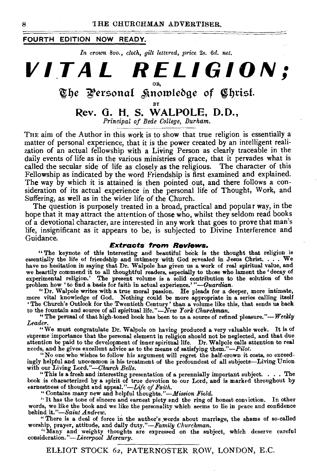#### **FOURTH EDITION NOW READY.**

*In crown 8vo., cloth, gilt lettered, price* 2s. *6d. net.* 



THE aim of the Author in this work is to show that true religion is essentially a matter of personal experience, that it is the power created by an intelligent realization of an actual fellowship with a Living Person as clearly traceable in the daily events of life as in the various ministries of grace, that it pervades what is called the secular side of life as closely as the religious. The character of this Fellowship as indicated by the word Friendship is first examined and explained. The way by which it is attained is then pointed out, and there follows a consideration of its actual experience in the personal life of Thought, Work, and Suffering, as well as in the wider life of the Church.

The question is purposely treated in a broad, practical and popular way, in the hope that it may attract the attention of those who, whilst they seldom read books of a devotional character, are interested in any work that goes to prove that man's life, insignificant as it appears to be, is subjected to Divine Interference and Guidance.

#### *Extracts* **from** *Reviews.*

"The keynote of this interesting and beautiful book is the thought that religion is essentially the life of friendship and intimacy with God revealed in Jesus Christ. . . . We have no hesitation in saying that Dr. Walpole has given us a work of real spiritual value, and we heartily commend it to all thoughtful readers, especially to those who lament the 'decay of experimental religion.' The present volume is a solid contribution to the solution of the problem how 'to find a basis for faith in actual experience.'"-Guardian.

"Dr. Walpole writes with a true moral passion. He pleads for a deeper, more intimate, more vital knowledge of God. Nothing could be more appropriate in a series calling itself 'The Church's Outlook for the Twentieth Century' than a volume like this, that sends us back to the fountain and source of all spir

"The perusal of that high-toned book has been to us a source of refined pleasure."-*Weekly Leader.* 

Treater.<br>"We must congratulate Dr. Walpole on having produced a very valuable work. It is of<br>supreme importance that the personal element in religion should not be neglected, and that due<br>attention be paid to the developme needs, and he gives excellent advice as to the means of satisfying them."-Pilot.

"No one who wishes to follow his argument will regret the half-crown it costs, so exceed-ingly helpful and uncommon is his treatment of the profoundest of all subjects-Living Union with our Living Lord."-Church Bells.

"This is a fresh and interesting presentation of a perennially important subject. . . . The book is characterized by a spirit of true devotion to our Lord, and is marked throughout by earnestness of thought and appeal."—Life of Faith.

" Contains many new and helpful thoughts."-Mission Field.

"It bas the tone of sincere and earnest piety and the ring of honest com iction. In other words, we like the book and we like the personality which seems to lie in peace and confidence behind *it."-Saint Andrew.* 

"There is a deal of force in the author's words about marriage, the shams of so-called

worship, prayer, attitude, and daily duty."-*-Family Churchman.*<br>
"Many and weighty thoughts are expressed on the subject, which deserve careful<br>
consideration."--*Liverpool Mercury*.

ELLIOT STOCK 62, PATERNOSTER ROW, LONDON, E.C.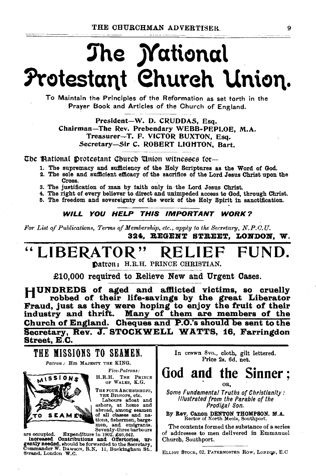# The **Mational** Protestant Church Union.

To Maintain the Principles of the Reformation as set torth in the Prayer Book and Articles of the Church of England.

President-W. D. CRUDDAS, Esq. Chairman-The Rev. Prebendary WEBB-PEPLOE, M.A. Treasurer-T. F. VICTOR BUXTON, Esq. Secretary-Sir C. ROBERT LIGHTON, Bart.

The Mational Drotestant Church 'Union witnesses for--

- 1. The supremacy and sufficiency of the Holy Scriptures as the Word of God.
- 2. The sole and sufficient efficacy of the sacrifice of the Lord Jesus Christ upon the Cross.
- 3. The justification of man by faith only in the Lord Jesus Christ.
- 4. The right of every believer to direct and unimpeded access to God, through Christ.
- 5. The freedom and sovereignty of the work of the Holy Spirit in sanctification.

#### WILL YOU HELP THIS IMPORTANT WORK?

*l'or List of Publications, Terms of Membership, etc., apply to the Secretary, N.P.O.U.* 324. BEGENT STREET. LONDON. W.

# LIBERATOR" RELIEF FUND.

Datron: H.R.H. PRINCE CHRISTIAN.

£10,000 required to Relieve New and Urgent Cases.

HUNDREDS of aged and afflicted victims, so cruelly robbed of their life-savings by the great Liberator Fraud, just as they were hoping to enjoy the fruit of their industry and thrift. Many of them are members of the Church of England. Cheques and P.O.'s should be sent to the Secretary, Rev. J. STOCKWELL WATTS, 16, Farringdon Street, E.C.



Commander W. DAwson, R.N. 11, Buckingham St...<br>Strand, London W.C.

In crewn 8vo., cloth, gilt lettered. Price 2s. 6d. net.

## God and the Sinner ; OR,

Some Fundamental Truths of Christianity: Illustrated from the Parable of the Prodigal Son.

By Rev. Canon DENTON THOMPSON. M.A. Rector of North Meols, Southport.

The contents formed the substance of a series of addresses to men delivered in Emmanuel Church, Southport.

ELLIOT STOCK, 62, PATERNOSTER ROW, LONDON, E.C.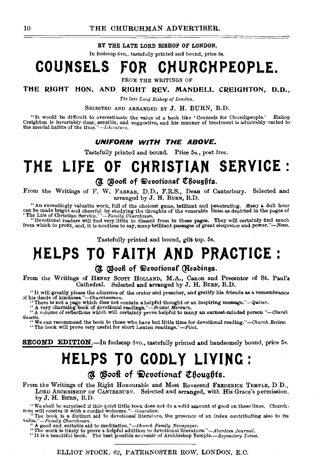BY THE LATE LORD BISHOP OF LONDON.

In foolscap Svo., tastefully printed and bound, price 5s.

# **COUNSELS FOR CHURCH PEOPLE.**

FROM THE WRITINGS OF

THE RIGHT HON. AND RIGHT REV. MANDELL CREIGHTON, D.D.,

*The late Lord Bishop of London.* 

SELECTED AND ARRANGED BY J. H. BURN, B.D.

"It would be difficult to overestimate the value of a book like 'Counsels for Churchpeople.' Bishop Creighton is invariably clear, sensible, and suggestive, and his manner of treatment is admirably united to the meutal habits of the *time."-Literature*.

#### UNIFORM WITH THE ABOVE.

Tastefully printed and bound. Price 5s., post free.

# **THE LIFE OF CHRISTIAN SERVICE** :

#### (U Osook of Devotional Choughts.

From the Writings of F. \V. FARRAR, D.D., F.R.S., Dean of Canterbury. Selected and arranged by J. H. BuRN, B.D.

"An exceedingly valuable work, full of the choicest gems, brilliant and penetrating. Many a dull hour can be made bright and cheerful by studying the thoughts of the venerable Dean as depicted in the pages of "The Life of

Tastefully printed and bound, gilt top. 5s.

# **HELPS TO FAITH AND PRACTICE:**

#### (Readings.)

From the Writings of HENRY ScOTT HOLLAND, M.A., Canon and Precentor of St. Paul's

Cathedral. Selected and arranged by J. H. BURN, B.D.<br>"It will greatly please the admirers of the orator and preacher, and gratify his friends as a remembrance<br>of his deeds of kindness."—Churchwoman.

The decase of kindmess. --Current moment.<br>
"There is not a page which does not contain a helpful thought or an inspiring message."-Quiver.<br>
"A very charming book of devotional readings."-Bristol Mercury.<br>
"A volume of refl

<sup>14</sup> We can recommend the book to those who have but little time for devotional reading.''--Church Review.<br>"The book will prove very useful for short Lenten readings.''--Pilot.

SECOND EDITION.-In foolscap Svo., tastefully printed and handsomely bound, price 5s.

# **HELPS TO GODLY LIVING:**

## $\alpha$  Booft of Devotional Choughts.

From the Writings of the Right Honourable and Most Reverend FREDERICK TEMPLE, D.D., LORD ARCHBISHOP OF CANTERBURY. Selected and arranged, with His Grace's permission, by  $J. H. B<sub>CRN</sub>, B.D.$ 

"We shall be surprised if this quiet little book does not do a solid amount of good on these lines. Church-<br>men will receive it with a cordial welcome."—"Guardian,<br>"The book is a distinct sid to developen."— $Guarian$ , the pre

"It is a beautiful book. The best possible souvenir of Archbishop *Temple.-Expository 1'imes.* 

ELLIOT STOCK, 62, PATEKNOSTER ROW, LONDON, E.C.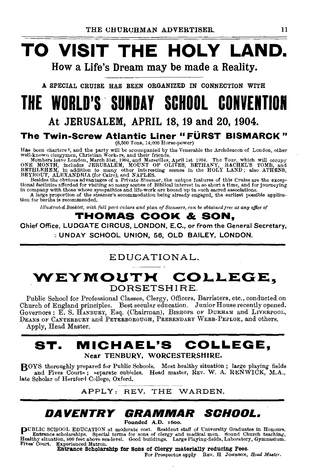# **TO VISIT THE HOLY LAND.**  How a Life's Dream may be made a Reality.

A SPECIAL CRUISE HAS BEEN ORGANIZED IN CONNECTION WITH

# **THE WORLD'S . SUNDAY SCHOOL CONVENTION**

# At JERUSALEM, APRIL 18, 19 and 20, 1904.

## **The Twin-Screw Atlantic Liner "FÜRST BISMARCK"**

(8,500 Tons, 14,000 Horse-power)

Has been chartere<sup>1</sup>, and the party will be accompanied by the Venerable the Archdeacon of London, other well-known clergy<br>nen, Christian Work: rs, and their friends.<br>Members leave London, March 31st, 1904, and Mareellles

*Illustrated Booklet, ·with full pm·t,culars and plan of Steame'rs, can be obtainedjree at any office of* 

## **THOMAS COOK & SON,**

Chief Office, LUDGATE CIRCUS, LONDON, E.C., or from the General Secretary, <sup>~</sup>UNDAY SCHOOL UNION, 56, OLD BAILEY, LONDON.

# EDUCATIONAL.

# **WEYMOUTH:** COLLEGE~ DORSETSHIRE.

Public School for Professional Classes, Clergy, Officers, Barristers, etc., conducted on Church of England principles. Best secular education. Junior House recently opened. Governors: E. S. HANBURY, Esq. (Chairman), BISHOPS OF DuRHAM and LIVERPOOL, DEANS OF CANTERBURY and PETERBOROUGH, PREBENDARY WEBB-PEPLOE, and others. Apply, Head Master.

## **ST. MICHAEL'S COLLEGE,**  Near TENBURY, WORCESTERSHIRE.

BOYS thoroughly prepared for Public Schools. Most healthy situation; large playing fields and Fives Court«; «eparate cubicles. Head master, REV. W. A. RENWICK, M.A., late Scholar of Hertford College, Oxford.

APPLY: REV. THE WARDEN.

# **DAVENTRY GRAMMAR SOHOOL.**

Pounded A.D. 16oo.

puBLIC SCHOOL EDUCATION at moderate cost. Resident staff of University Graduates in Honours. Entrance scholarships. Special terms for sons of clergy and medical men. ~ound Church teaching, Healthy situation, 800 feet above sea-level. Good buildings. Large Playing-fields, Laboratory, Gymnasium.<br>Fives' Court. Experienced Matron.

Entrance Scholarship for Sons of Clergy materially reducing Fees. For Prospectus apply REv. H JORNSON, *Head Master.*